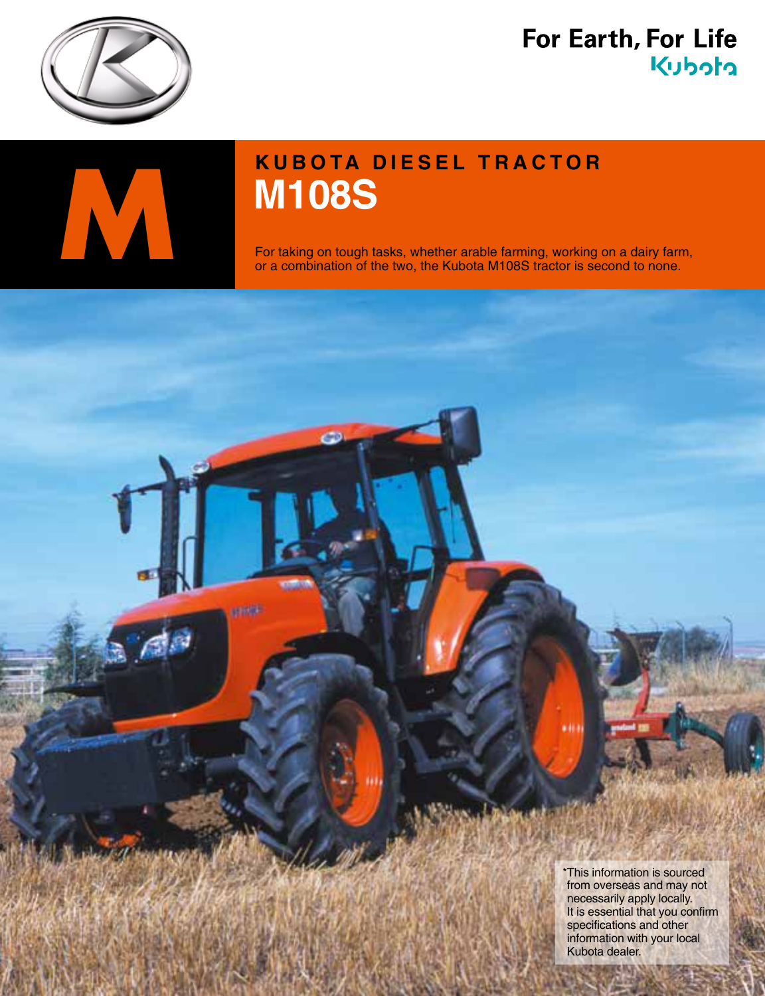

# For Earth, For Life Kubota



**under** 

# **M108S M108S**<br>For taking on tough tasks, whether arable farming, working<br>or a combination of the two, the Kubota M108S tractor is set

For taking on tough tasks, whether arable farming, working on a dairy farm, or a combination of the two, the Kubota M108S tractor is second to none.

> \*This information is sourced from overseas and may not necessarily apply locally. It is essential that you confirm specifications and other information with your local Kubota dealer.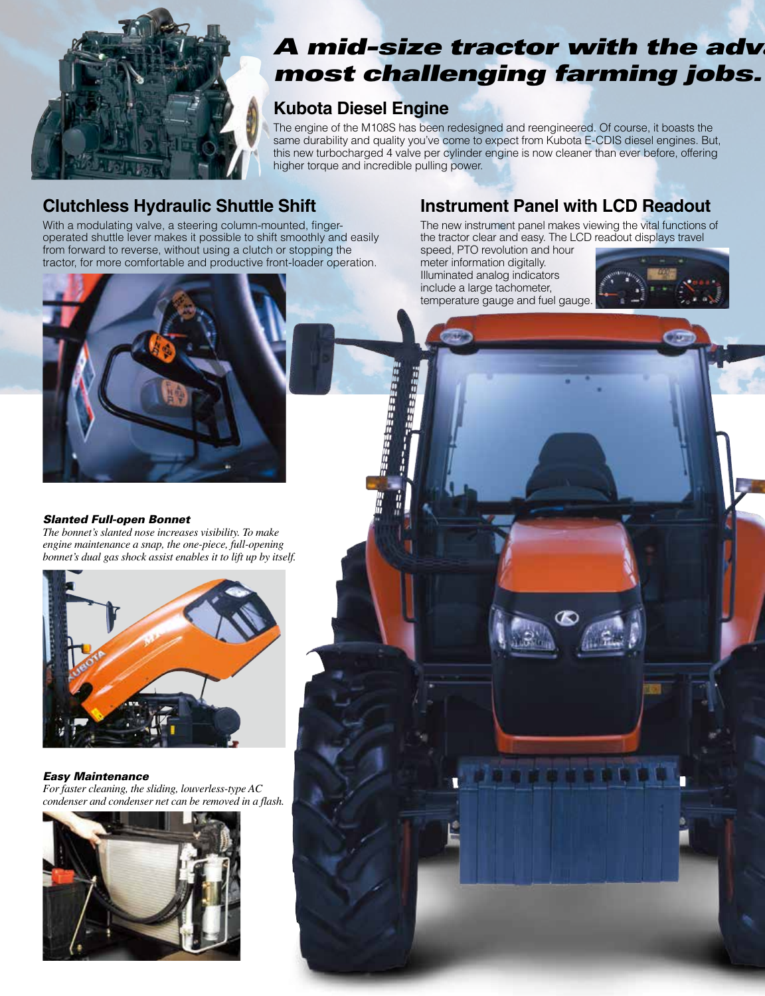

# **A** mid-size tractor with the advance most challenging farming jobs.

## **Kubota Diesel Engine**

ESES BESTEE

The engine of the M108S has been redesigned and reengineered. Of course, it boasts the same durability and quality you've come to expect from Kubota E-CDIS diesel engines. But, this new turbocharged 4 valve per cylinder engine is now cleaner than ever before, offering higher torque and incredible pulling power.

## **Clutchless Hydraulic Shuttle Shift**

operated shuttle lever makes it possible to shift smoothly and easily With a modulating valve, a steering column-mounted, fingerfrom forward to reverse, without using a clutch or stopping the tractor, for more comfortable and productive front-loader operation.

## **Instrument Panel with LCD Readout**

The new instrument panel makes viewing the vital functions of the tractor clear and easy. The LCD readout displays travel

speed, PTO revolution and hour meter information digitally. Illuminated analog indicators include a large tachometer, temperature gauge and fuel gauge.





#### **Slanted Full-open Bonnet**

The bonnet's slanted nose increases visibility. To make engine maintenance a snap, the one-piece, full-opening *bonnet's dual gas shock assist enables it to lift up by itself.* 



#### *Maintenance Easy*

For faster cleaning, the sliding, louverless-type AC condenser and condenser net can be removed in a flash.

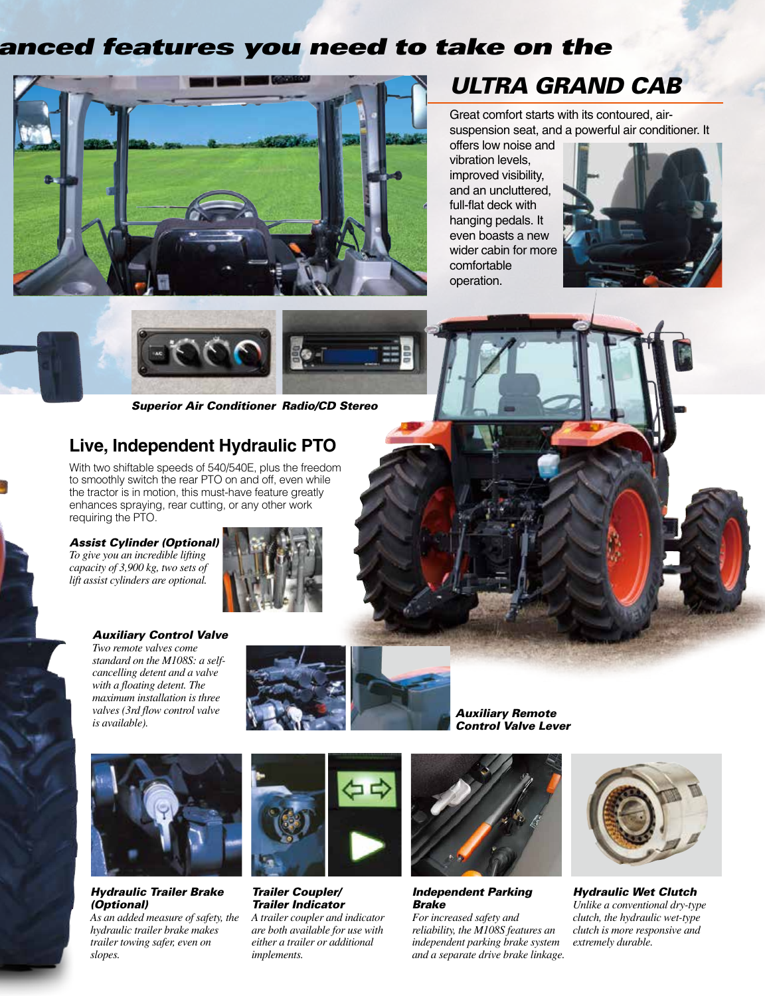## anced features you need to take on the



# **ULTRA GRAND CAB**

suspension seat, and a powerful air conditioner. It Great comfort starts with its contoured, air-

offers low noise and vibration levels. improved visibility, and an uncluttered, full-flat deck with hanging pedals. It even boasts a new wider cabin for more comfortable operation.







## **Live, Independent Hydraulic PTO**

With two shiftable speeds of 540/540E, plus the freedom to smoothly switch the rear PTO on and off, even while the tractor is in motion, this must-have feature greatly enhances spraying, rear cutting, or any other work requiring the PTO.

#### **Assist Cylinder (Optional)** *To give you an incredible lifting capacity of 3,900 kg, two sets of*

*lift assist cylinders are optional.* 



#### **Auxiliary Control Valve**

*Two remote valves come*  $c$ *ancelling* detent and a valve standard on the M108S: a self $with$  *a* floating detent. The  $maximum$  *installation is three valves* (3rd flow control valve  $i$ *s available*  $i$ *.* 



 *Remote AuxiliaryLever Valve Control*



**Hydraulic Trailer Brake**  *(Optional(*

As an added measure of safety, the  *makes brake trailer hydraulic trailer towing safer, even on .slopes*



**Trailer Coupler/**  *Indicator Trailer A trailer coupler and indicator are both available for use with*  $either$  a trailer or additional *.implements*



**Independent Parking**  *Brake*

For increased safety and *reliability, the M108S features an independent parking brake system and a separate drive brake linkage.* 



**Hydraulic Wet Clutch** *Unlike a conventional dry-type clutch, the hydraulic wet-type clutch is more responsive and*  $extremely$ *durable.*